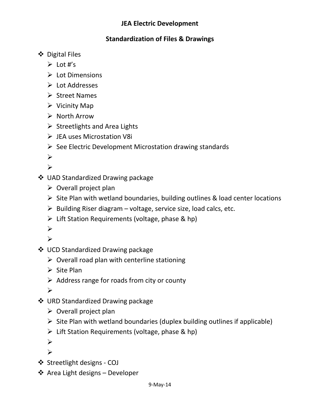## **JEA Electric Development**

### **Standardization of Files & Drawings**

- Digital Files
	- $\triangleright$  Lot #'s
	- $\triangleright$  Lot Dimensions
	- $\triangleright$  Lot Addresses
	- $\triangleright$  Street Names
	- $\triangleright$  Vicinity Map
	- $\triangleright$  North Arrow
	- $\triangleright$  Streetlights and Area Lights
	- JEA uses Microstation V8i
	- $\triangleright$  See Electric Development Microstation drawing standards
	- $\blacktriangleright$

 $\blacktriangleright$ 

- UAD Standardized Drawing package
	- $\triangleright$  Overall project plan
	- $\triangleright$  Site Plan with wetland boundaries, building outlines & load center locations
	- $\triangleright$  Building Riser diagram voltage, service size, load calcs, etc.
	- $\triangleright$  Lift Station Requirements (voltage, phase & hp)

 $\blacktriangleright$ 

- $\blacktriangleright$
- **❖** UCD Standardized Drawing package
	- $\triangleright$  Overall road plan with centerline stationing
	- $\triangleright$  Site Plan
	- $\triangleright$  Address range for roads from city or county

 $\blacktriangleright$ 

- URD Standardized Drawing package
	- $\triangleright$  Overall project plan
	- $\triangleright$  Site Plan with wetland boundaries (duplex building outlines if applicable)
	- $\triangleright$  Lift Station Requirements (voltage, phase & hp)

 $\blacktriangleright$ 

- $\blacktriangleright$
- Streetlight designs COJ
- $\triangleleft$  Area Light designs Developer